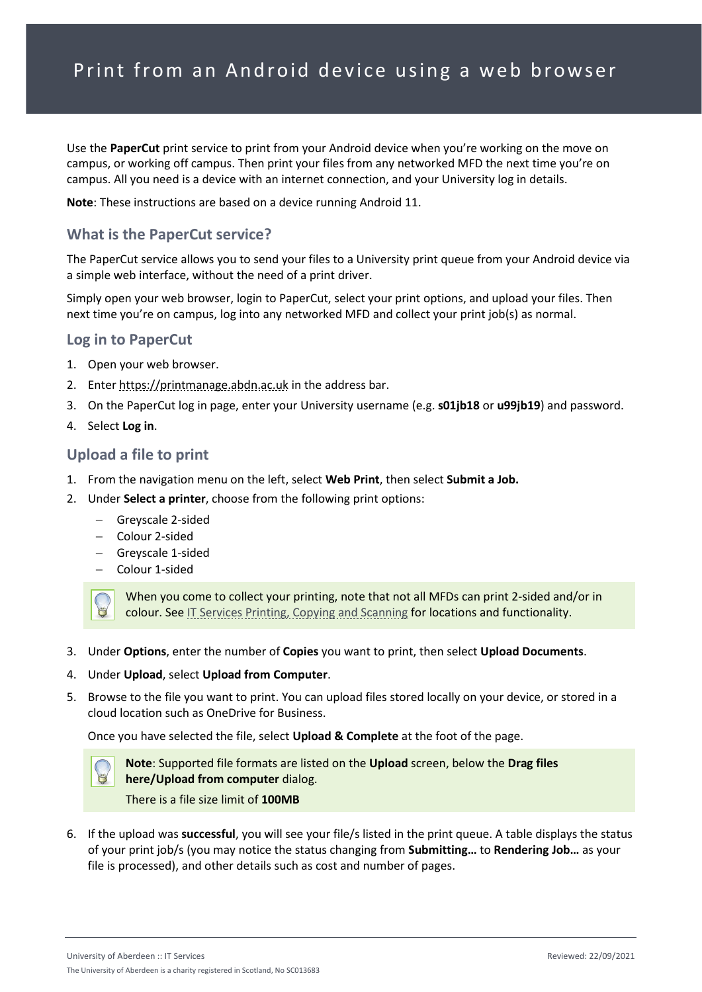Use the **PaperCut** print service to print from your Android device when you're working on the move on campus, or working off campus. Then print your files from any networked MFD the next time you're on campus. All you need is a device with an internet connection, and your University log in details.

**Note**: These instructions are based on a device running Android 11.

# **What is the PaperCut service?**

The PaperCut service allows you to send your files to a University print queue from your Android device via a simple web interface, without the need of a print driver.

Simply open your web browser, login to PaperCut, select your print options, and upload your files. Then next time you're on campus, log into any networked MFD and collect your print job(s) as normal.

### **Log in to PaperCut**

- 1. Open your web browser.
- 2. Enter [https://printmanage.abdn.ac.uk](https://printmanage.abdn.ac.uk/) in the address bar.
- 3. On the PaperCut log in page, enter your University username (e.g. **s01jb18** or **u99jb19**) and password.
- 4. Select **Log in**.

## **Upload a file to print**

- 1. From the navigation menu on the left, select **Web Print**, then select **Submit a Job.**
- 2. Under **Select a printer**, choose from the following print options:
	- − Greyscale 2-sided
	- − Colour 2-sided
	- − Greyscale 1-sided
	- − Colour 1-sided



When you come to collect your printing, note that not all MFDs can print 2-sided and/or in colour. See [IT Services Printing, Copying and Scanning](https://www.abdn.ac.uk/it/student/print/index.php#panel1227) for locations and functionality.

- 3. Under **Options**, enter the number of **Copies** you want to print, then select **Upload Documents**.
- 4. Under **Upload**, select **Upload from Computer**.
- 5. Browse to the file you want to print. You can upload files stored locally on your device, or stored in a cloud location such as OneDrive for Business.

Once you have selected the file, select **Upload & Complete** at the foot of the page.



**Note**: Supported file formats are listed on the **Upload** screen, below the **Drag files here/Upload from computer** dialog.

There is a file size limit of **100MB**

6. If the upload was **successful**, you will see your file/s listed in the print queue. A table displays the status of your print job/s (you may notice the status changing from **Submitting…** to **Rendering Job…** as your file is processed), and other details such as cost and number of pages.